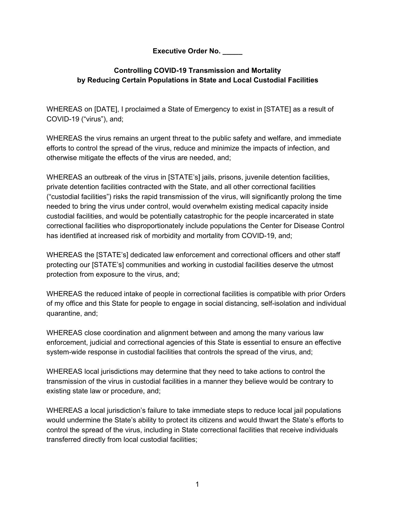**Executive Order No. \_\_\_\_\_**

### **Controlling COVID-19 Transmission and Mortality by Reducing Certain Populations in State and Local Custodial Facilities**

WHEREAS on [DATE], I proclaimed a State of Emergency to exist in [STATE] as a result of COVID-19 ("virus"), and;

WHEREAS the virus remains an urgent threat to the public safety and welfare, and immediate efforts to control the spread of the virus, reduce and minimize the impacts of infection, and otherwise mitigate the effects of the virus are needed, and;

WHEREAS an outbreak of the virus in [STATE's] jails, prisons, juvenile detention facilities, private detention facilities contracted with the State, and all other correctional facilities ("custodial facilities") risks the rapid transmission of the virus, will significantly prolong the time needed to bring the virus under control, would overwhelm existing medical capacity inside custodial facilities, and would be potentially catastrophic for the people incarcerated in state correctional facilities who disproportionately include populations the Center for Disease Control has identified at increased risk of morbidity and mortality from COVID-19, and;

WHEREAS the [STATE's] dedicated law enforcement and correctional officers and other staff protecting our [STATE's] communities and working in custodial facilities deserve the utmost protection from exposure to the virus, and;

WHEREAS the reduced intake of people in correctional facilities is compatible with prior Orders of my office and this State for people to engage in social distancing, self-isolation and individual quarantine, and;

WHEREAS close coordination and alignment between and among the many various law enforcement, judicial and correctional agencies of this State is essential to ensure an effective system-wide response in custodial facilities that controls the spread of the virus, and;

WHEREAS local jurisdictions may determine that they need to take actions to control the transmission of the virus in custodial facilities in a manner they believe would be contrary to existing state law or procedure, and;

WHEREAS a local jurisdiction's failure to take immediate steps to reduce local jail populations would undermine the State's ability to protect its citizens and would thwart the State's efforts to control the spread of the virus, including in State correctional facilities that receive individuals transferred directly from local custodial facilities;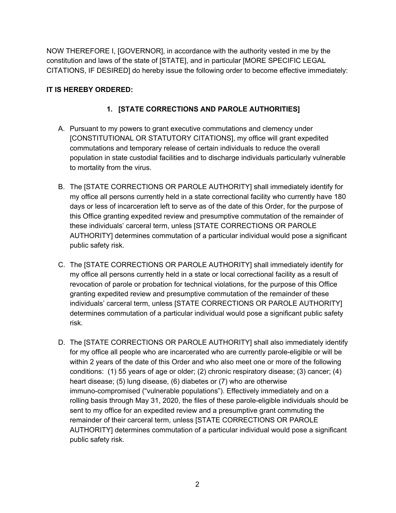NOW THEREFORE I, [GOVERNOR], in accordance with the authority vested in me by the constitution and laws of the state of [STATE], and in particular [MORE SPECIFIC LEGAL CITATIONS, IF DESIRED] do hereby issue the following order to become effective immediately:

### **IT IS HEREBY ORDERED:**

## **1. [STATE CORRECTIONS AND PAROLE AUTHORITIES]**

- A. Pursuant to my powers to grant executive commutations and clemency under [CONSTITUTIONAL OR STATUTORY CITATIONS], my office will grant expedited commutations and temporary release of certain individuals to reduce the overall population in state custodial facilities and to discharge individuals particularly vulnerable to mortality from the virus.
- B. The [STATE CORRECTIONS OR PAROLE AUTHORITY] shall immediately identify for my office all persons currently held in a state correctional facility who currently have 180 days or less of incarceration left to serve as of the date of this Order, for the purpose of this Office granting expedited review and presumptive commutation of the remainder of these individuals' carceral term, unless [STATE CORRECTIONS OR PAROLE AUTHORITY] determines commutation of a particular individual would pose a significant public safety risk.
- C. The [STATE CORRECTIONS OR PAROLE AUTHORITY] shall immediately identify for my office all persons currently held in a state or local correctional facility as a result of revocation of parole or probation for technical violations, for the purpose of this Office granting expedited review and presumptive commutation of the remainder of these individuals' carceral term, unless [STATE CORRECTIONS OR PAROLE AUTHORITY] determines commutation of a particular individual would pose a significant public safety risk.
- D. The [STATE CORRECTIONS OR PAROLE AUTHORITY] shall also immediately identify for my office all people who are incarcerated who are currently parole-eligible or will be within 2 years of the date of this Order and who also meet one or more of the following conditions: (1) 55 years of age or older; (2) chronic respiratory disease; (3) cancer; (4) heart disease; (5) lung disease, (6) diabetes or (7) who are otherwise immuno-compromised ("vulnerable populations"). Effectively immediately and on a rolling basis through May 31, 2020, the files of these parole-eligible individuals should be sent to my office for an expedited review and a presumptive grant commuting the remainder of their carceral term, unless [STATE CORRECTIONS OR PAROLE AUTHORITY] determines commutation of a particular individual would pose a significant public safety risk.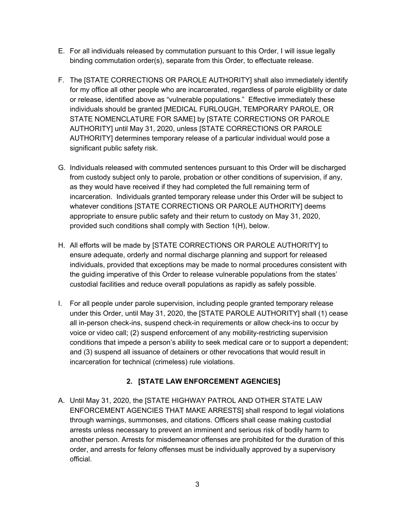- E. For all individuals released by commutation pursuant to this Order, I will issue legally binding commutation order(s), separate from this Order, to effectuate release.
- F. The [STATE CORRECTIONS OR PAROLE AUTHORITY] shall also immediately identify for my office all other people who are incarcerated, regardless of parole eligibility or date or release, identified above as "vulnerable populations." Effective immediately these individuals should be granted [MEDICAL FURLOUGH, TEMPORARY PAROLE, OR STATE NOMENCLATURE FOR SAME] by [STATE CORRECTIONS OR PAROLE AUTHORITY] until May 31, 2020, unless [STATE CORRECTIONS OR PAROLE AUTHORITY] determines temporary release of a particular individual would pose a significant public safety risk.
- G. Individuals released with commuted sentences pursuant to this Order will be discharged from custody subject only to parole, probation or other conditions of supervision, if any, as they would have received if they had completed the full remaining term of incarceration. Individuals granted temporary release under this Order will be subject to whatever conditions [STATE CORRECTIONS OR PAROLE AUTHORITY] deems appropriate to ensure public safety and their return to custody on May 31, 2020, provided such conditions shall comply with Section 1(H), below.
- H. All efforts will be made by [STATE CORRECTIONS OR PAROLE AUTHORITY] to ensure adequate, orderly and normal discharge planning and support for released individuals, provided that exceptions may be made to normal procedures consistent with the guiding imperative of this Order to release vulnerable populations from the states' custodial facilities and reduce overall populations as rapidly as safely possible.
- I. For all people under parole supervision, including people granted temporary release under this Order, until May 31, 2020, the [STATE PAROLE AUTHORITY] shall (1) cease all in-person check-ins, suspend check-in requirements or allow check-ins to occur by voice or video call; (2) suspend enforcement of any mobility-restricting supervision conditions that impede a person's ability to seek medical care or to support a dependent; and (3) suspend all issuance of detainers or other revocations that would result in incarceration for technical (crimeless) rule violations.

# **2. [STATE LAW ENFORCEMENT AGENCIES]**

A. Until May 31, 2020, the [STATE HIGHWAY PATROL AND OTHER STATE LAW ENFORCEMENT AGENCIES THAT MAKE ARRESTS] shall respond to legal violations through warnings, summonses, and citations. Officers shall cease making custodial arrests unless necessary to prevent an imminent and serious risk of bodily harm to another person. Arrests for misdemeanor offenses are prohibited for the duration of this order, and arrests for felony offenses must be individually approved by a supervisory official.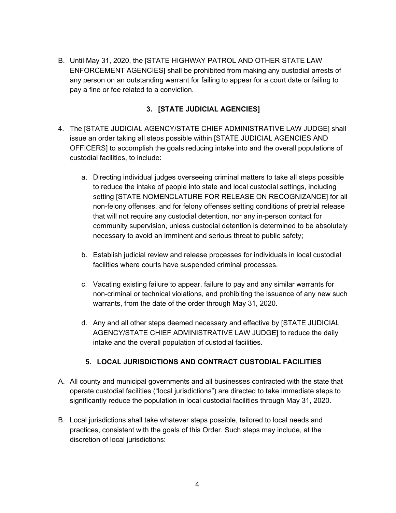B. Until May 31, 2020, the [STATE HIGHWAY PATROL AND OTHER STATE LAW ENFORCEMENT AGENCIES] shall be prohibited from making any custodial arrests of any person on an outstanding warrant for failing to appear for a court date or failing to pay a fine or fee related to a conviction.

### **3. [STATE JUDICIAL AGENCIES]**

- 4. The [STATE JUDICIAL AGENCY/STATE CHIEF ADMINISTRATIVE LAW JUDGE] shall issue an order taking all steps possible within [STATE JUDICIAL AGENCIES AND OFFICERS] to accomplish the goals reducing intake into and the overall populations of custodial facilities, to include:
	- a. Directing individual judges overseeing criminal matters to take all steps possible to reduce the intake of people into state and local custodial settings, including setting [STATE NOMENCLATURE FOR RELEASE ON RECOGNIZANCE] for all non-felony offenses, and for felony offenses setting conditions of pretrial release that will not require any custodial detention, nor any in-person contact for community supervision, unless custodial detention is determined to be absolutely necessary to avoid an imminent and serious threat to public safety;
	- b. Establish judicial review and release processes for individuals in local custodial facilities where courts have suspended criminal processes.
	- c. Vacating existing failure to appear, failure to pay and any similar warrants for non-criminal or technical violations, and prohibiting the issuance of any new such warrants, from the date of the order through May 31, 2020.
	- d. Any and all other steps deemed necessary and effective by [STATE JUDICIAL AGENCY/STATE CHIEF ADMINISTRATIVE LAW JUDGE] to reduce the daily intake and the overall population of custodial facilities.

### **5. LOCAL JURISDICTIONS AND CONTRACT CUSTODIAL FACILITIES**

- A. All county and municipal governments and all businesses contracted with the state that operate custodial facilities ("local jurisdictions") are directed to take immediate steps to significantly reduce the population in local custodial facilities through May 31, 2020.
- B. Local jurisdictions shall take whatever steps possible, tailored to local needs and practices, consistent with the goals of this Order. Such steps may include, at the discretion of local jurisdictions: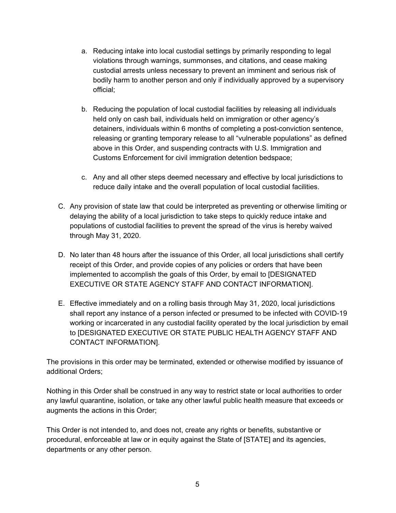- a. Reducing intake into local custodial settings by primarily responding to legal violations through warnings, summonses, and citations, and cease making custodial arrests unless necessary to prevent an imminent and serious risk of bodily harm to another person and only if individually approved by a supervisory official;
- b. Reducing the population of local custodial facilities by releasing all individuals held only on cash bail, individuals held on immigration or other agency's detainers, individuals within 6 months of completing a post-conviction sentence, releasing or granting temporary release to all "vulnerable populations" as defined above in this Order, and suspending contracts with U.S. Immigration and Customs Enforcement for civil immigration detention bedspace;
- c. Any and all other steps deemed necessary and effective by local jurisdictions to reduce daily intake and the overall population of local custodial facilities.
- C. Any provision of state law that could be interpreted as preventing or otherwise limiting or delaying the ability of a local jurisdiction to take steps to quickly reduce intake and populations of custodial facilities to prevent the spread of the virus is hereby waived through May 31, 2020.
- D. No later than 48 hours after the issuance of this Order, all local jurisdictions shall certify receipt of this Order, and provide copies of any policies or orders that have been implemented to accomplish the goals of this Order, by email to [DESIGNATED EXECUTIVE OR STATE AGENCY STAFF AND CONTACT INFORMATION].
- E. Effective immediately and on a rolling basis through May 31, 2020, local jurisdictions shall report any instance of a person infected or presumed to be infected with COVID-19 working or incarcerated in any custodial facility operated by the local jurisdiction by email to [DESIGNATED EXECUTIVE OR STATE PUBLIC HEALTH AGENCY STAFF AND CONTACT INFORMATION].

The provisions in this order may be terminated, extended or otherwise modified by issuance of additional Orders;

Nothing in this Order shall be construed in any way to restrict state or local authorities to order any lawful quarantine, isolation, or take any other lawful public health measure that exceeds or augments the actions in this Order;

This Order is not intended to, and does not, create any rights or benefits, substantive or procedural, enforceable at law or in equity against the State of [STATE] and its agencies, departments or any other person.